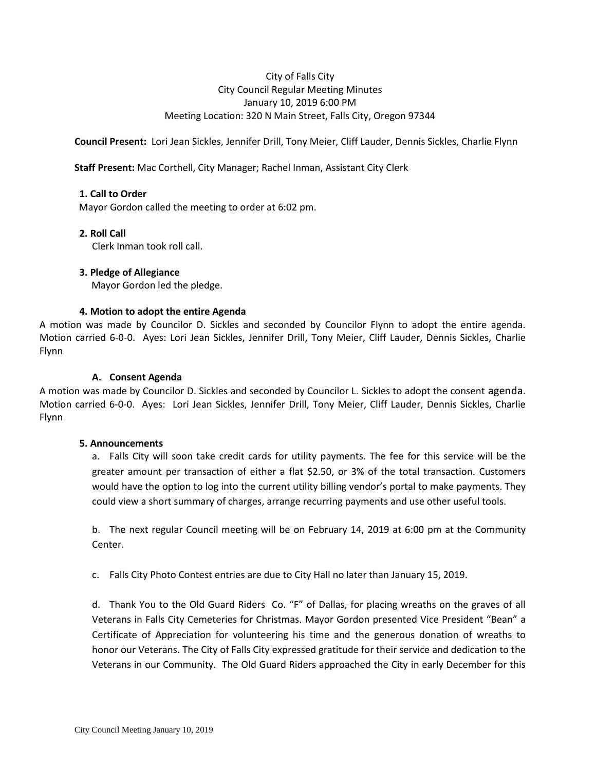# City of Falls City City Council Regular Meeting Minutes January 10, 2019 6:00 PM Meeting Location: 320 N Main Street, Falls City, Oregon 97344

**Council Present:** Lori Jean Sickles, Jennifer Drill, Tony Meier, Cliff Lauder, Dennis Sickles, Charlie Flynn

### **Staff Present:** Mac Corthell, City Manager; Rachel Inman, Assistant City Clerk

### **1. Call to Order**

Mayor Gordon called the meeting to order at 6:02 pm.

### **2. Roll Call**

Clerk Inman took roll call.

### **3. Pledge of Allegiance**

Mayor Gordon led the pledge.

### **4. Motion to adopt the entire Agenda**

A motion was made by Councilor D. Sickles and seconded by Councilor Flynn to adopt the entire agenda. Motion carried 6-0-0. Ayes: Lori Jean Sickles, Jennifer Drill, Tony Meier, Cliff Lauder, Dennis Sickles, Charlie Flynn

# **A. Consent Agenda**

A motion was made by Councilor D. Sickles and seconded by Councilor L. Sickles to adopt the consent agenda. Motion carried 6-0-0. Ayes: Lori Jean Sickles, Jennifer Drill, Tony Meier, Cliff Lauder, Dennis Sickles, Charlie Flynn

### **5. Announcements**

a. Falls City will soon take credit cards for utility payments. The fee for this service will be the greater amount per transaction of either a flat \$2.50, or 3% of the total transaction. Customers would have the option to log into the current utility billing vendor's portal to make payments. They could view a short summary of charges, arrange recurring payments and use other useful tools.

b. The next regular Council meeting will be on February 14, 2019 at 6:00 pm at the Community Center.

c. Falls City Photo Contest entries are due to City Hall no later than January 15, 2019.

d. Thank You to the Old Guard Riders Co. "F" of Dallas, for placing wreaths on the graves of all Veterans in Falls City Cemeteries for Christmas. Mayor Gordon presented Vice President "Bean" a Certificate of Appreciation for volunteering his time and the generous donation of wreaths to honor our Veterans. The City of Falls City expressed gratitude for their service and dedication to the Veterans in our Community. The Old Guard Riders approached the City in early December for this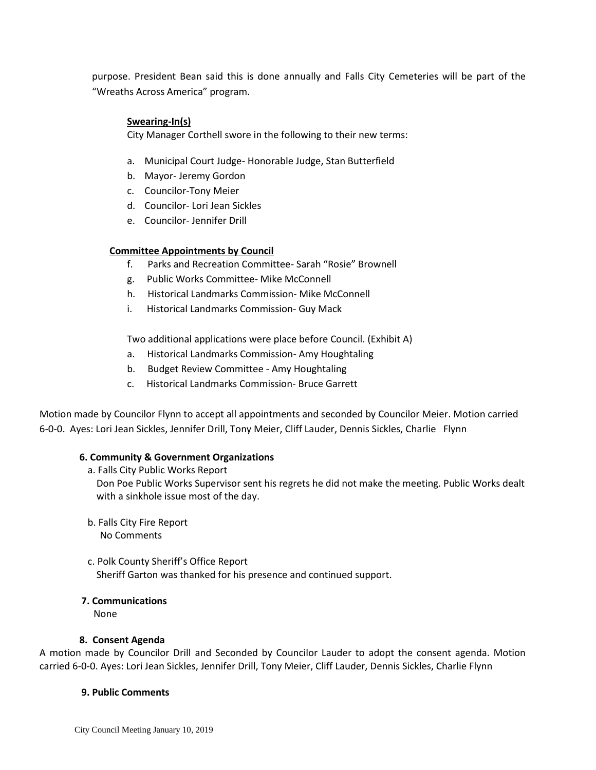purpose. President Bean said this is done annually and Falls City Cemeteries will be part of the "Wreaths Across America" program.

# **Swearing-In(s)**

City Manager Corthell swore in the following to their new terms:

- a. Municipal Court Judge- Honorable Judge, Stan Butterfield
- b. Mayor- Jeremy Gordon
- c. Councilor-Tony Meier
- d. Councilor- Lori Jean Sickles
- e. Councilor- Jennifer Drill

#### **Committee Appointments by Council**

- f. Parks and Recreation Committee- Sarah "Rosie" Brownell
- g. Public Works Committee- Mike McConnell
- h. Historical Landmarks Commission- Mike McConnell
- i. Historical Landmarks Commission- Guy Mack

Two additional applications were place before Council. (Exhibit A)

- a. Historical Landmarks Commission- Amy Houghtaling
- b. Budget Review Committee Amy Houghtaling
- c. Historical Landmarks Commission- Bruce Garrett

Motion made by Councilor Flynn to accept all appointments and seconded by Councilor Meier. Motion carried 6-0-0. Ayes: Lori Jean Sickles, Jennifer Drill, Tony Meier, Cliff Lauder, Dennis Sickles, Charlie Flynn

#### **6. Community & Government Organizations**

a. Falls City Public Works Report

Don Poe Public Works Supervisor sent his regrets he did not make the meeting. Public Works dealt with a sinkhole issue most of the day.

- b. Falls City Fire Report No Comments
- c. Polk County Sheriff's Office Report Sheriff Garton was thanked for his presence and continued support.

#### **7. Communications**

None

#### **8. Consent Agenda**

A motion made by Councilor Drill and Seconded by Councilor Lauder to adopt the consent agenda. Motion carried 6-0-0. Ayes: Lori Jean Sickles, Jennifer Drill, Tony Meier, Cliff Lauder, Dennis Sickles, Charlie Flynn

#### **9. Public Comments**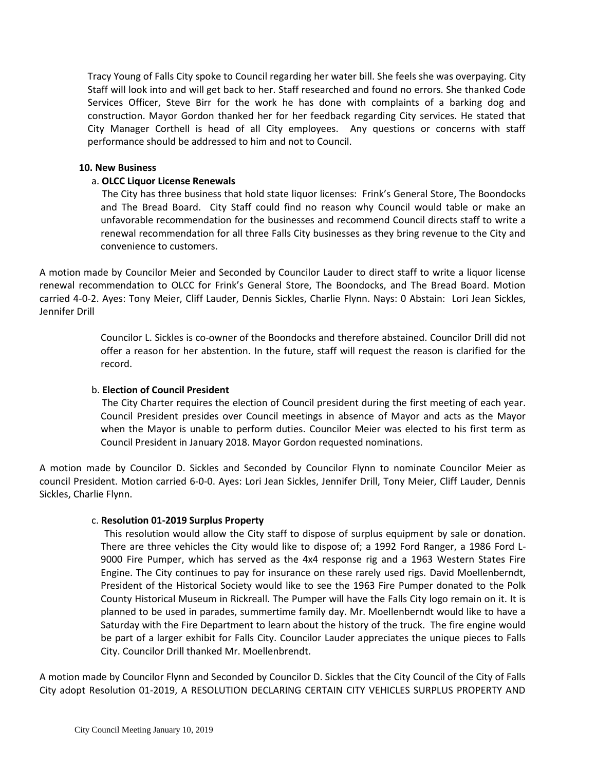Tracy Young of Falls City spoke to Council regarding her water bill. She feels she was overpaying. City Staff will look into and will get back to her. Staff researched and found no errors. She thanked Code Services Officer, Steve Birr for the work he has done with complaints of a barking dog and construction. Mayor Gordon thanked her for her feedback regarding City services. He stated that City Manager Corthell is head of all City employees. Any questions or concerns with staff performance should be addressed to him and not to Council.

#### **10. New Business**

### a. **OLCC Liquor License Renewals**

 The City has three business that hold state liquor licenses: Frink's General Store, The Boondocks and The Bread Board. City Staff could find no reason why Council would table or make an unfavorable recommendation for the businesses and recommend Council directs staff to write a renewal recommendation for all three Falls City businesses as they bring revenue to the City and convenience to customers.

A motion made by Councilor Meier and Seconded by Councilor Lauder to direct staff to write a liquor license renewal recommendation to OLCC for Frink's General Store, The Boondocks, and The Bread Board. Motion carried 4-0-2. Ayes: Tony Meier, Cliff Lauder, Dennis Sickles, Charlie Flynn. Nays: 0 Abstain: Lori Jean Sickles, Jennifer Drill

> Councilor L. Sickles is co-owner of the Boondocks and therefore abstained. Councilor Drill did not offer a reason for her abstention. In the future, staff will request the reason is clarified for the record.

### b. **Election of Council President**

 The City Charter requires the election of Council president during the first meeting of each year. Council President presides over Council meetings in absence of Mayor and acts as the Mayor when the Mayor is unable to perform duties. Councilor Meier was elected to his first term as Council President in January 2018. Mayor Gordon requested nominations.

A motion made by Councilor D. Sickles and Seconded by Councilor Flynn to nominate Councilor Meier as council President. Motion carried 6-0-0. Ayes: Lori Jean Sickles, Jennifer Drill, Tony Meier, Cliff Lauder, Dennis Sickles, Charlie Flynn.

### c. **Resolution 01-2019 Surplus Property**

 This resolution would allow the City staff to dispose of surplus equipment by sale or donation. There are three vehicles the City would like to dispose of; a 1992 Ford Ranger, a 1986 Ford L-9000 Fire Pumper, which has served as the 4x4 response rig and a 1963 Western States Fire Engine. The City continues to pay for insurance on these rarely used rigs. David Moellenberndt, President of the Historical Society would like to see the 1963 Fire Pumper donated to the Polk County Historical Museum in Rickreall. The Pumper will have the Falls City logo remain on it. It is planned to be used in parades, summertime family day. Mr. Moellenberndt would like to have a Saturday with the Fire Department to learn about the history of the truck. The fire engine would be part of a larger exhibit for Falls City. Councilor Lauder appreciates the unique pieces to Falls City. Councilor Drill thanked Mr. Moellenbrendt.

A motion made by Councilor Flynn and Seconded by Councilor D. Sickles that the City Council of the City of Falls City adopt Resolution 01-2019, A RESOLUTION DECLARING CERTAIN CITY VEHICLES SURPLUS PROPERTY AND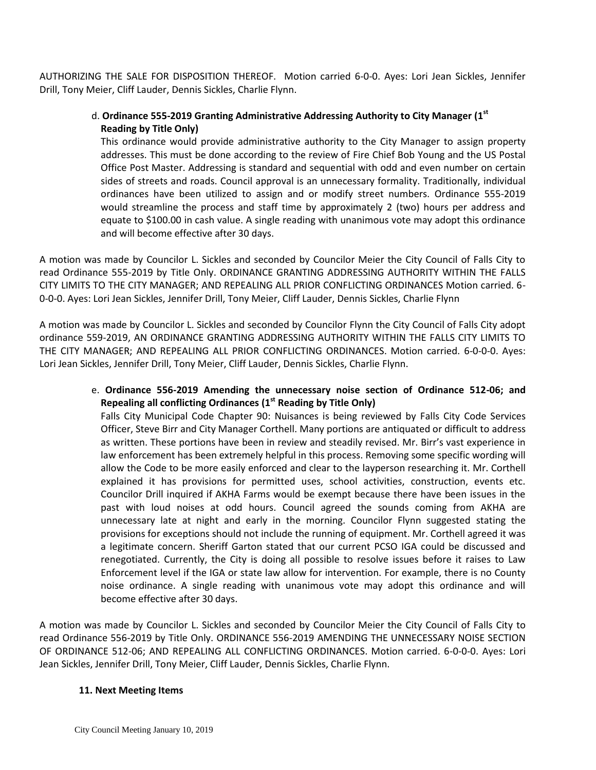AUTHORIZING THE SALE FOR DISPOSITION THEREOF. Motion carried 6-0-0. Ayes: Lori Jean Sickles, Jennifer Drill, Tony Meier, Cliff Lauder, Dennis Sickles, Charlie Flynn.

# d. **Ordinance 555-2019 Granting Administrative Addressing Authority to City Manager (1 st Reading by Title Only)**

This ordinance would provide administrative authority to the City Manager to assign property addresses. This must be done according to the review of Fire Chief Bob Young and the US Postal Office Post Master. Addressing is standard and sequential with odd and even number on certain sides of streets and roads. Council approval is an unnecessary formality. Traditionally, individual ordinances have been utilized to assign and or modify street numbers. Ordinance 555-2019 would streamline the process and staff time by approximately 2 (two) hours per address and equate to \$100.00 in cash value. A single reading with unanimous vote may adopt this ordinance and will become effective after 30 days.

A motion was made by Councilor L. Sickles and seconded by Councilor Meier the City Council of Falls City to read Ordinance 555-2019 by Title Only. ORDINANCE GRANTING ADDRESSING AUTHORITY WITHIN THE FALLS CITY LIMITS TO THE CITY MANAGER; AND REPEALING ALL PRIOR CONFLICTING ORDINANCES Motion carried. 6- 0-0-0. Ayes: Lori Jean Sickles, Jennifer Drill, Tony Meier, Cliff Lauder, Dennis Sickles, Charlie Flynn

A motion was made by Councilor L. Sickles and seconded by Councilor Flynn the City Council of Falls City adopt ordinance 559-2019, AN ORDINANCE GRANTING ADDRESSING AUTHORITY WITHIN THE FALLS CITY LIMITS TO THE CITY MANAGER; AND REPEALING ALL PRIOR CONFLICTING ORDINANCES. Motion carried. 6-0-0-0. Ayes: Lori Jean Sickles, Jennifer Drill, Tony Meier, Cliff Lauder, Dennis Sickles, Charlie Flynn.

 e. **Ordinance 556-2019 Amending the unnecessary noise section of Ordinance 512-06; and Repealing all conflicting Ordinances (1 st Reading by Title Only)**

Falls City Municipal Code Chapter 90: Nuisances is being reviewed by Falls City Code Services Officer, Steve Birr and City Manager Corthell. Many portions are antiquated or difficult to address as written. These portions have been in review and steadily revised. Mr. Birr's vast experience in law enforcement has been extremely helpful in this process. Removing some specific wording will allow the Code to be more easily enforced and clear to the layperson researching it. Mr. Corthell explained it has provisions for permitted uses, school activities, construction, events etc. Councilor Drill inquired if AKHA Farms would be exempt because there have been issues in the past with loud noises at odd hours. Council agreed the sounds coming from AKHA are unnecessary late at night and early in the morning. Councilor Flynn suggested stating the provisions for exceptions should not include the running of equipment. Mr. Corthell agreed it was a legitimate concern. Sheriff Garton stated that our current PCSO IGA could be discussed and renegotiated. Currently, the City is doing all possible to resolve issues before it raises to Law Enforcement level if the IGA or state law allow for intervention. For example, there is no County noise ordinance. A single reading with unanimous vote may adopt this ordinance and will become effective after 30 days.

A motion was made by Councilor L. Sickles and seconded by Councilor Meier the City Council of Falls City to read Ordinance 556-2019 by Title Only. ORDINANCE 556-2019 AMENDING THE UNNECESSARY NOISE SECTION OF ORDINANCE 512-06; AND REPEALING ALL CONFLICTING ORDINANCES. Motion carried. 6-0-0-0. Ayes: Lori Jean Sickles, Jennifer Drill, Tony Meier, Cliff Lauder, Dennis Sickles, Charlie Flynn.

### **11. Next Meeting Items**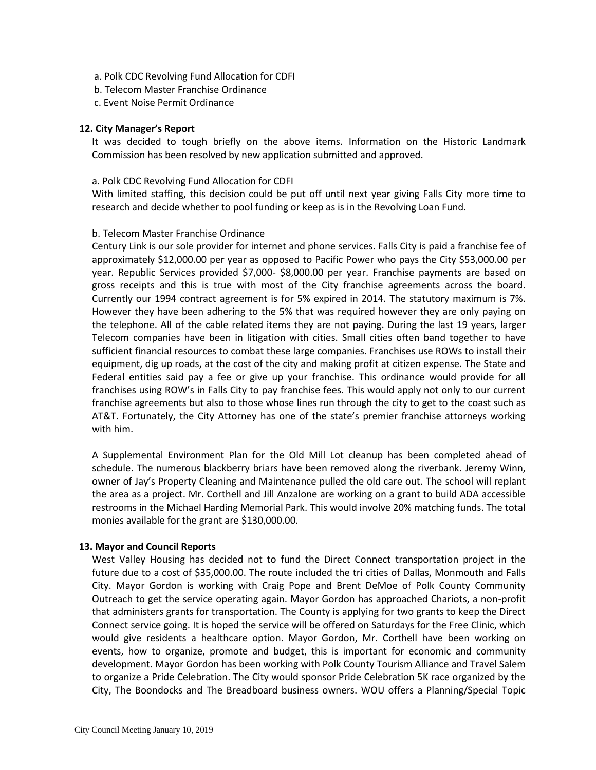- a. Polk CDC Revolving Fund Allocation for CDFI
- b. Telecom Master Franchise Ordinance
- c. Event Noise Permit Ordinance

#### **12. City Manager's Report**

It was decided to tough briefly on the above items. Information on the Historic Landmark Commission has been resolved by new application submitted and approved.

#### a. Polk CDC Revolving Fund Allocation for CDFI

With limited staffing, this decision could be put off until next year giving Falls City more time to research and decide whether to pool funding or keep as is in the Revolving Loan Fund.

#### b. Telecom Master Franchise Ordinance

Century Link is our sole provider for internet and phone services. Falls City is paid a franchise fee of approximately \$12,000.00 per year as opposed to Pacific Power who pays the City \$53,000.00 per year. Republic Services provided \$7,000- \$8,000.00 per year. Franchise payments are based on gross receipts and this is true with most of the City franchise agreements across the board. Currently our 1994 contract agreement is for 5% expired in 2014. The statutory maximum is 7%. However they have been adhering to the 5% that was required however they are only paying on the telephone. All of the cable related items they are not paying. During the last 19 years, larger Telecom companies have been in litigation with cities. Small cities often band together to have sufficient financial resources to combat these large companies. Franchises use ROWs to install their equipment, dig up roads, at the cost of the city and making profit at citizen expense. The State and Federal entities said pay a fee or give up your franchise. This ordinance would provide for all franchises using ROW's in Falls City to pay franchise fees. This would apply not only to our current franchise agreements but also to those whose lines run through the city to get to the coast such as AT&T. Fortunately, the City Attorney has one of the state's premier franchise attorneys working with him.

A Supplemental Environment Plan for the Old Mill Lot cleanup has been completed ahead of schedule. The numerous blackberry briars have been removed along the riverbank. Jeremy Winn, owner of Jay's Property Cleaning and Maintenance pulled the old care out. The school will replant the area as a project. Mr. Corthell and Jill Anzalone are working on a grant to build ADA accessible restrooms in the Michael Harding Memorial Park. This would involve 20% matching funds. The total monies available for the grant are \$130,000.00.

#### **13. Mayor and Council Reports**

West Valley Housing has decided not to fund the Direct Connect transportation project in the future due to a cost of \$35,000.00. The route included the tri cities of Dallas, Monmouth and Falls City. Mayor Gordon is working with Craig Pope and Brent DeMoe of Polk County Community Outreach to get the service operating again. Mayor Gordon has approached Chariots, a non-profit that administers grants for transportation. The County is applying for two grants to keep the Direct Connect service going. It is hoped the service will be offered on Saturdays for the Free Clinic, which would give residents a healthcare option. Mayor Gordon, Mr. Corthell have been working on events, how to organize, promote and budget, this is important for economic and community development. Mayor Gordon has been working with Polk County Tourism Alliance and Travel Salem to organize a Pride Celebration. The City would sponsor Pride Celebration 5K race organized by the City, The Boondocks and The Breadboard business owners. WOU offers a Planning/Special Topic